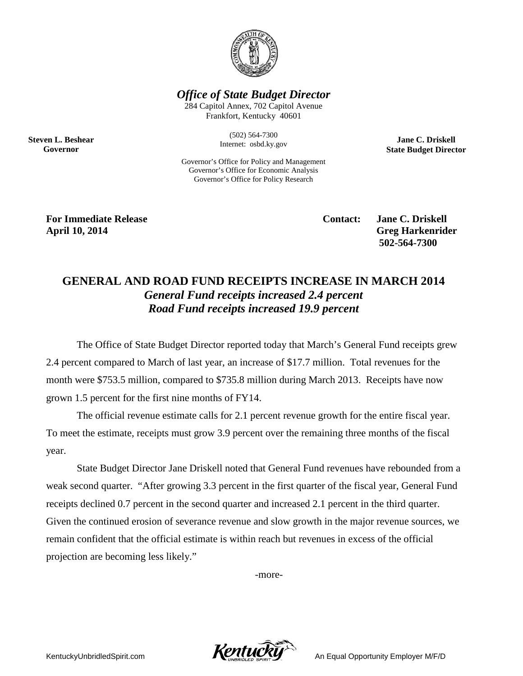

*Office of State Budget Director*

284 Capitol Annex, 702 Capitol Avenue Frankfort, Kentucky 40601

> (502) 564-7300 Internet: osbd.ky.gov

**Jane C. Driskell State Budget Director**

Governor's Office for Policy and Management Governor's Office for Economic Analysis Governor's Office for Policy Research

**For Immediate Release Contact: Jane C. Driskell April 10, 2014 Greg Harkenrider**

**Steven L. Beshear Governor**

**502-564-7300** 

## **GENERAL AND ROAD FUND RECEIPTS INCREASE IN MARCH 2014** *General Fund receipts increased 2.4 percent Road Fund receipts increased 19.9 percent*

The Office of State Budget Director reported today that March's General Fund receipts grew 2.4 percent compared to March of last year, an increase of \$17.7 million. Total revenues for the month were \$753.5 million, compared to \$735.8 million during March 2013. Receipts have now grown 1.5 percent for the first nine months of FY14.

The official revenue estimate calls for 2.1 percent revenue growth for the entire fiscal year. To meet the estimate, receipts must grow 3.9 percent over the remaining three months of the fiscal year.

State Budget Director Jane Driskell noted that General Fund revenues have rebounded from a weak second quarter. "After growing 3.3 percent in the first quarter of the fiscal year, General Fund receipts declined 0.7 percent in the second quarter and increased 2.1 percent in the third quarter. Given the continued erosion of severance revenue and slow growth in the major revenue sources, we remain confident that the official estimate is within reach but revenues in excess of the official projection are becoming less likely."

-more-

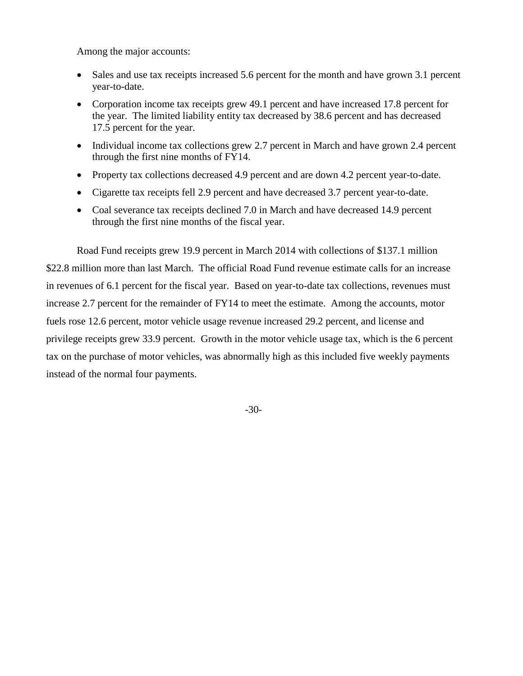Among the major accounts:

- Sales and use tax receipts increased 5.6 percent for the month and have grown 3.1 percent year-to-date.
- Corporation income tax receipts grew 49.1 percent and have increased 17.8 percent for the year. The limited liability entity tax decreased by 38.6 percent and has decreased 17.5 percent for the year.
- Individual income tax collections grew 2.7 percent in March and have grown 2.4 percent through the first nine months of FY14.
- Property tax collections decreased 4.9 percent and are down 4.2 percent year-to-date.
- Cigarette tax receipts fell 2.9 percent and have decreased 3.7 percent year-to-date.
- Coal severance tax receipts declined 7.0 in March and have decreased 14.9 percent through the first nine months of the fiscal year.

Road Fund receipts grew 19.9 percent in March 2014 with collections of \$137.1 million \$22.8 million more than last March. The official Road Fund revenue estimate calls for an increase in revenues of 6.1 percent for the fiscal year. Based on year-to-date tax collections, revenues must increase 2.7 percent for the remainder of FY14 to meet the estimate. Among the accounts, motor fuels rose 12.6 percent, motor vehicle usage revenue increased 29.2 percent, and license and privilege receipts grew 33.9 percent. Growth in the motor vehicle usage tax, which is the 6 percent tax on the purchase of motor vehicles, was abnormally high as this included five weekly payments instead of the normal four payments.

-30-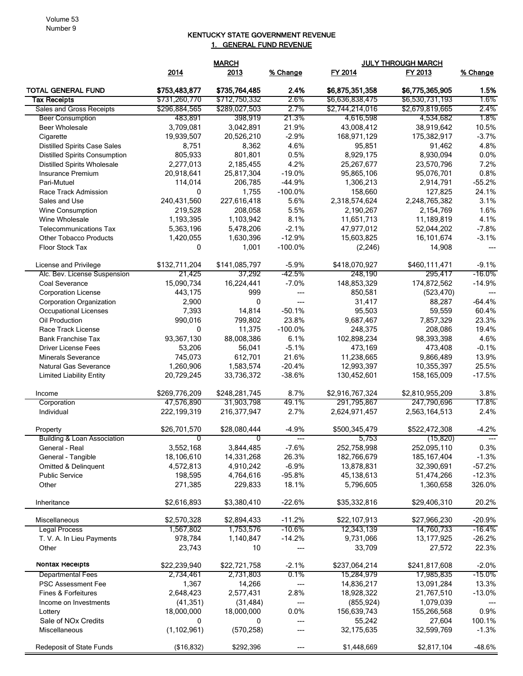## KENTUCKY STATE GOVERNMENT REVENUE 1. GENERAL FUND REVENUE

|                                        |               | <b>MARCH</b>  |           | <b>JULY THROUGH MARCH</b> |                 |           |
|----------------------------------------|---------------|---------------|-----------|---------------------------|-----------------|-----------|
|                                        | 2014          | 2013          | % Change  | FY 2014                   | FY 2013         | % Change  |
| <b>TOTAL GENERAL FUND</b>              | \$753,483,877 | \$735,764,485 | 2.4%      | \$6,875,351,358           | \$6,775,365,905 | 1.5%      |
| <b>Tax Receipts</b>                    | \$731,260,770 | \$712,750,332 | 2.6%      | \$6,636,838,475           | \$6,530,731,193 | 1.6%      |
| Sales and Gross Receipts               | \$296,884,565 | \$289,027,503 | 2.7%      | \$2,744,214,016           | \$2,679,819,665 | 2.4%      |
| <b>Beer Consumption</b>                | 483,891       | 398,919       | 21.3%     | 4,616,598                 | 4,534,682       | 1.8%      |
| <b>Beer Wholesale</b>                  | 3,709,081     | 3,042,891     | 21.9%     | 43,008,412                | 38,919,642      | 10.5%     |
| Cigarette                              | 19,939,507    | 20,526,210    | $-2.9%$   | 168,971,129               | 175,382,917     | $-3.7%$   |
| <b>Distilled Spirits Case Sales</b>    | 8,751         | 8,362         | 4.6%      | 95,851                    | 91,462          | 4.8%      |
| <b>Distilled Spirits Consumption</b>   | 805,933       | 801,801       | 0.5%      | 8,929,175                 | 8,930,094       | 0.0%      |
| <b>Distilled Spirits Wholesale</b>     | 2,277,013     | 2,185,455     | 4.2%      | 25,267,677                | 23,570,796      | 7.2%      |
| Insurance Premium                      | 20,918,641    | 25,817,304    | $-19.0%$  | 95,865,106                | 95,076,701      | 0.8%      |
| Pari-Mutuel                            | 114,014       | 206.785       | $-44.9%$  | 1,306,213                 | 2,914,791       | $-55.2%$  |
| Race Track Admission                   | 0             | 1,755         | $-100.0%$ | 158,660                   | 127,825         | 24.1%     |
| Sales and Use                          | 240,431,560   | 227,616,418   | 5.6%      | 2,318,574,624             | 2,248,765,382   | 3.1%      |
| <b>Wine Consumption</b>                | 219,528       | 208,058       | 5.5%      | 2,190,267                 | 2,154,769       | 1.6%      |
| Wine Wholesale                         | 1,193,395     | 1,103,942     | 8.1%      | 11,651,713                | 11,189,819      | 4.1%      |
| <b>Telecommunications Tax</b>          | 5,363,196     | 5,478,206     | $-2.1%$   | 47,977,012                | 52,044,202      | $-7.8%$   |
| <b>Other Tobacco Products</b>          | 1,420,055     | 1,630,396     | $-12.9%$  | 15,603,825                | 16,101,674      | $-3.1%$   |
| Floor Stock Tax                        | 0             | 1,001         | $-100.0%$ | (2, 246)                  | 14,908          | ---       |
| License and Privilege                  | \$132,711,204 | \$141,085,797 | $-5.9%$   | \$418,070,927             | \$460,111,471   | $-9.1%$   |
| Alc. Bev. License Suspension           | 21,425        | 37,292        | -42.5%    | 248,190                   | 295,417         | -16.0%    |
| Coal Severance                         | 15,090,734    | 16,224,441    | $-7.0%$   | 148,853,329               | 174,872,562     | $-14.9%$  |
| <b>Corporation License</b>             | 443,175       | 999           |           | 850,581                   | (523, 470)      | ---       |
| Corporation Organization               | 2,900         | 0             | $---$     | 31,417                    | 88,287          | $-64.4%$  |
| <b>Occupational Licenses</b>           | 7,393         | 14,814        | $-50.1%$  | 95,503                    | 59,559          | 60.4%     |
| Oil Production                         | 990,016       | 799,802       | 23.8%     | 9,687,467                 | 7,857,329       | 23.3%     |
| Race Track License                     | 0             | 11,375        | $-100.0%$ | 248,375                   | 208,086         | 19.4%     |
| <b>Bank Franchise Tax</b>              | 93,367,130    | 88,008,386    | 6.1%      | 102,898,234               | 98,393,398      | 4.6%      |
| <b>Driver License Fees</b>             | 53,206        | 56,041        | $-5.1%$   | 473,169                   | 473,408         | $-0.1%$   |
| <b>Minerals Severance</b>              | 745,073       | 612,701       | 21.6%     | 11,238,665                | 9,866,489       | 13.9%     |
| Natural Gas Severance                  | 1,260,906     | 1,583,574     | $-20.4%$  | 12,993,397                | 10,355,397      | 25.5%     |
| <b>Limited Liability Entity</b>        | 20,729,245    | 33,736,372    | $-38.6%$  | 130,452,601               | 158,165,009     | $-17.5%$  |
| Income                                 | \$269,776,209 | \$248,281,745 | 8.7%      | \$2,916,767,324           | \$2,810,955,209 | 3.8%      |
| Corporation                            | 47,576,890    | 31,903,798    | 49.1%     | 291,795,867               | 247,790,696     | 17.8%     |
| Individual                             | 222,199,319   | 216,377,947   | 2.7%      | 2,624,971,457             | 2,563,164,513   | 2.4%      |
| Property                               | \$26.701.570  | \$28,080,444  | $-4.9%$   | \$500,345,479             | \$522,472,308   | $-4.2%$   |
| <b>Building &amp; Loan Association</b> | 0             | 0             | ---       | 5,753                     | (15, 820)       | ---       |
| General - Real                         | 3,552,168     | 3,844,485     | $-7.6%$   | 252,758,998               | 252,095,110     | 0.3%      |
| General - Tangible                     | 18,106,610    | 14,331,268    | 26.3%     | 182,766,679               | 185, 167, 404   | $-1.3%$   |
| Omitted & Delinquent                   | 4,572,813     | 4,910,242     | $-6.9%$   | 13,878,831                | 32,390,691      | $-57.2%$  |
| <b>Public Service</b>                  | 198,595       | 4,764,616     | $-95.8%$  | 45,138,613                | 51,474,266      | $-12.3%$  |
| Other                                  | 271,385       | 229,833       | 18.1%     | 5,796,605                 | 1,360,658       | 326.0%    |
| Inheritance                            | \$2,616,893   | \$3,380,410   | $-22.6%$  | \$35,332,816              | \$29,406,310    | 20.2%     |
| Miscellaneous                          | \$2,570,328   | \$2,894,433   | $-11.2%$  | \$22,107,913              | \$27,966,230    | $-20.9%$  |
| <b>Legal Process</b>                   | 1,567,802     | 1,753,576     | -10.6%    | 12,343,139                | 14,760,733      | $-16.4%$  |
| T. V. A. In Lieu Payments              | 978,784       | 1,140,847     | $-14.2%$  | 9,731,066                 | 13,177,925      | $-26.2%$  |
| Other                                  | 23,743        | 10            |           | 33,709                    | 27,572          | 22.3%     |
| Nontax Receipts                        | \$22,239,940  | \$22,721,758  | $-2.1%$   | \$237,064,214             | \$241,817,608   | $-2.0%$   |
| <b>Departmental Fees</b>               | 2,734,461     | 2,731,803     | 0.1%      | 15,284,979                | 17,985,835      | $-15.0\%$ |
| PSC Assessment Fee                     | 1,367         | 14,266        | ---       | 14,836,217                | 13,091,284      | 13.3%     |
| Fines & Forfeitures                    | 2,648,423     | 2,577,431     | 2.8%      | 18,928,322                | 21,767,510      | $-13.0%$  |
| Income on Investments                  | (41, 351)     | (31, 484)     | ---       | (855, 924)                | 1,079,039       |           |
| Lottery                                | 18,000,000    | 18,000,000    | 0.0%      | 156,639,743               | 155,266,568     | 0.9%      |
| Sale of NO <sub>x</sub> Credits        | 0             | 0             | ---       | 55,242                    | 27,604          | 100.1%    |
| Miscellaneous                          | (1, 102, 961) | (570, 258)    | ---       | 32,175,635                | 32,599,769      | $-1.3%$   |
| Redeposit of State Funds               | (\$16,832)    | \$292,396     | ---       | \$1,448,669               | \$2,817,104     | $-48.6%$  |